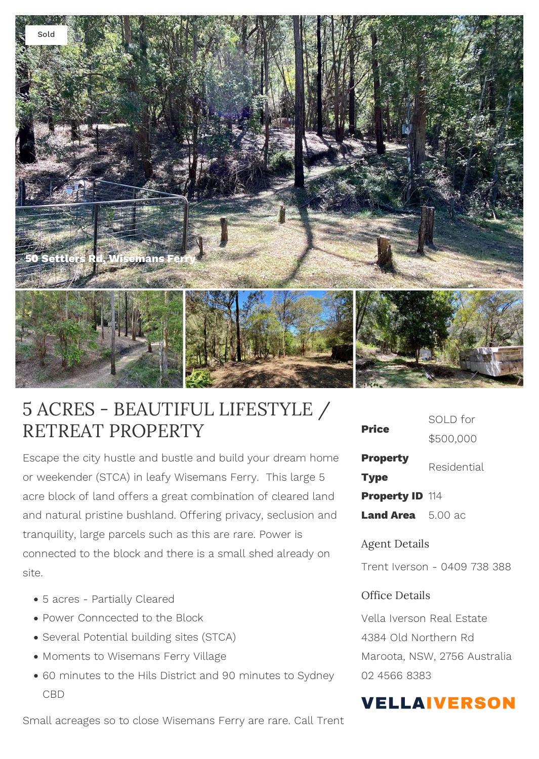

## 5 ACRES - BEAUTIFUL LIFESTYLE / RETREAT PROPERTY

Escape the city hustle and bustle and build your dream home or weekender (STCA) in leafy Wisemans Ferry. This large 5 acre block of land offers a great combination of cleared land and natural pristine bushland. Offering privacy, seclusion and tranquility, large parcels such as this are rare. Power is connected to the block and there is a small shed already on site.

- 5 acres Partially Cleared
- Power Conncected to the Block
- Several Potential building sites (STCA)
- Moments to Wisemans Ferry Village
- 60 minutes to the Hils District and 90 minutes to Sydney CBD

Small acreages so to close Wisemans Ferry are rare. Call Trent

| <b>Price</b>                   | SOLD for    |
|--------------------------------|-------------|
|                                | \$500,000   |
| <b>Property</b><br><b>Type</b> | Residential |
| <b>Property ID 114</b>         |             |
| <b>Land Area</b> 5.00 ac       |             |

## Agent Details

Trent Iverson - 0409 738 388

## Office Details

Vella Iverson Real Estate 4384 Old Northern Rd Maroota, NSW, 2756 Australia 02 4566 8383